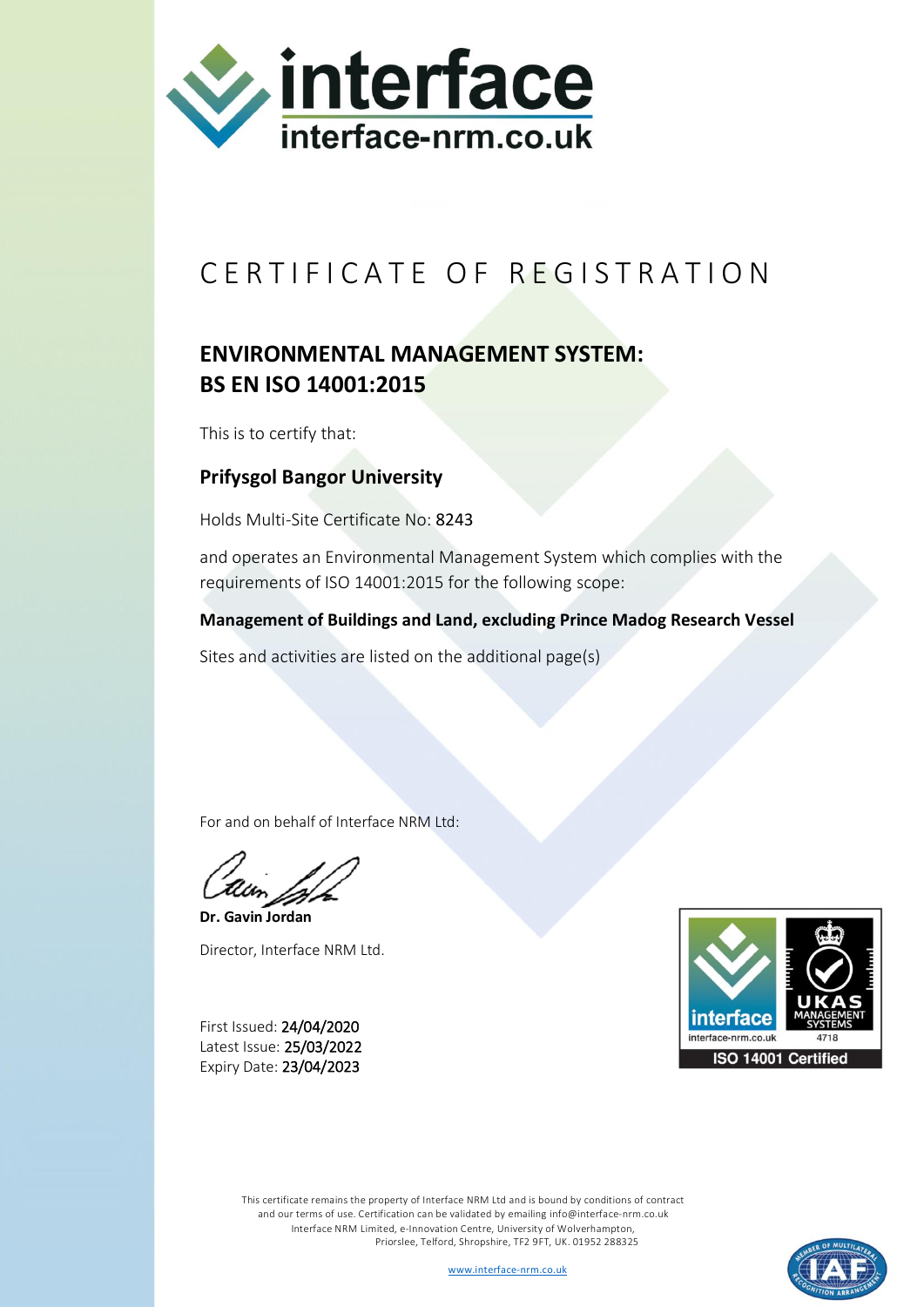

## CERTIFICATE OF REGISTRATION

## **ENVIRONMENTAL MANAGEMENT SYSTEM: BS EN ISO 14001:2015**

This is to certify that:

## **Prifysgol Bangor University**

Holds Multi-Site Certificate No: 8243

and operates an Environmental Management System which complies with the requirements of ISO 14001:2015 for the following scope:

**Management of Buildings and Land, excluding Prince Madog Research Vessel**

Sites and activities are listed on the additional page(s)

For and on behalf of Interface NRM Ltd:

**Dr. Gavin Jordan** Director, Interface NRM Ltd.

First Issued: 24/04/2020 Latest Issue: 25/03/2022 Expiry Date: 23/04/2023



This certificate remains the property of Interface NRM Ltd and is bound by conditions of contract and our terms of use. Certification can be validated by emailin[g info@interface-nrm.co.uk](mailto:info@interface-nrm.co.uk) Interface NRM Limited, e-Innovation Centre, University of Wolverhampton, Priorslee, Telford, Shropshire, TF2 9FT, UK. 01952 288325

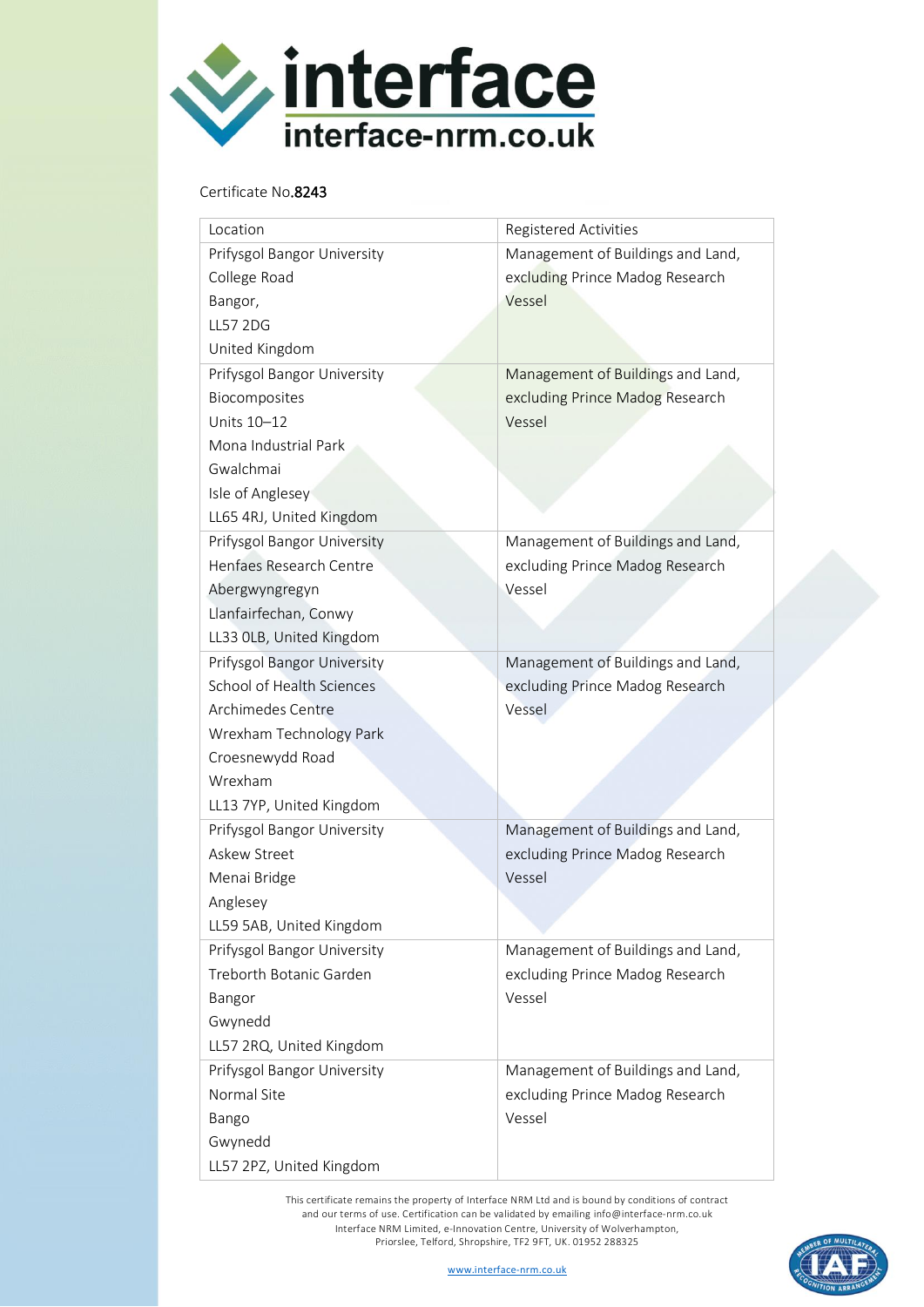

## Certificate No.8243

| Location                    | <b>Registered Activities</b>      |
|-----------------------------|-----------------------------------|
| Prifysgol Bangor University | Management of Buildings and Land, |
| College Road                | excluding Prince Madog Research   |
| Bangor,                     | Vessel                            |
| <b>LL57 2DG</b>             |                                   |
| United Kingdom              |                                   |
| Prifysgol Bangor University | Management of Buildings and Land, |
| Biocomposites               | excluding Prince Madog Research   |
| Units 10-12                 | Vessel                            |
| Mona Industrial Park        |                                   |
| Gwalchmai                   |                                   |
| Isle of Anglesey            |                                   |
| LL65 4RJ, United Kingdom    |                                   |
| Prifysgol Bangor University | Management of Buildings and Land, |
| Henfaes Research Centre     | excluding Prince Madog Research   |
| Abergwyngregyn              | Vessel                            |
| Llanfairfechan, Conwy       |                                   |
| LL33 OLB, United Kingdom    |                                   |
| Prifysgol Bangor University | Management of Buildings and Land, |
| School of Health Sciences   | excluding Prince Madog Research   |
| Archimedes Centre           | Vessel                            |
| Wrexham Technology Park     |                                   |
| Croesnewydd Road            |                                   |
| Wrexham                     |                                   |
| LL13 7YP, United Kingdom    |                                   |
| Prifysgol Bangor University | Management of Buildings and Land, |
| Askew Street                | excluding Prince Madog Research   |
| Menai Bridge                | Vessel                            |
| Anglesey                    |                                   |
| LL59 5AB, United Kingdom    |                                   |
| Prifysgol Bangor University | Management of Buildings and Land, |
| Treborth Botanic Garden     | excluding Prince Madog Research   |
| Bangor                      | Vessel                            |
| Gwynedd                     |                                   |
| LL57 2RQ, United Kingdom    |                                   |
| Prifysgol Bangor University | Management of Buildings and Land, |
| Normal Site                 | excluding Prince Madog Research   |
| Bango                       | Vessel                            |
| Gwynedd                     |                                   |
| LL57 2PZ, United Kingdom    |                                   |

This certificate remains the property of Interface NRM Ltd and is bound by conditions of contract and our terms of use. Certification can be validated by emailing [info@interface-nrm.co.uk](mailto:info@interface-nrm.co.uk) Interface NRM Limited, e-Innovation Centre, University of Wolverhampton, Priorslee, Telford, Shropshire, TF2 9FT, UK. 01952 288325